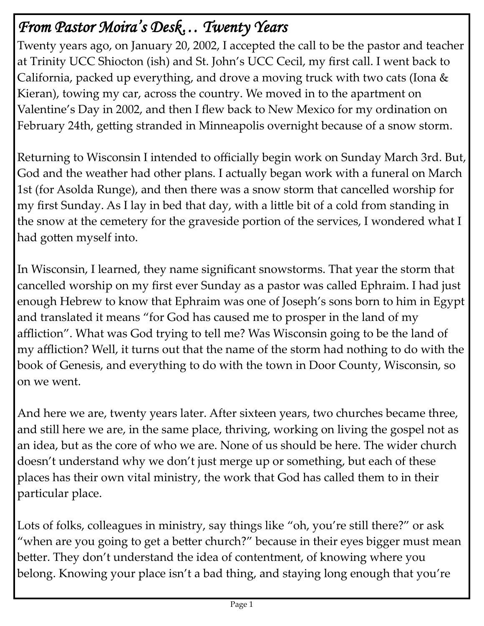# *From Pastor Moira's Desk… Twenty Years*

Twenty years ago, on January 20, 2002, I accepted the call to be the pastor and teacher at Trinity UCC Shiocton (ish) and St. John's UCC Cecil, my first call. I went back to California, packed up everything, and drove a moving truck with two cats (Iona & Kieran), towing my car, across the country. We moved in to the apartment on Valentine's Day in 2002, and then I flew back to New Mexico for my ordination on February 24th, getting stranded in Minneapolis overnight because of a snow storm.

Returning to Wisconsin I intended to officially begin work on Sunday March 3rd. But, God and the weather had other plans. I actually began work with a funeral on March 1st (for Asolda Runge), and then there was a snow storm that cancelled worship for my first Sunday. As I lay in bed that day, with a little bit of a cold from standing in the snow at the cemetery for the graveside portion of the services, I wondered what I had gotten myself into.

In Wisconsin, I learned, they name significant snowstorms. That year the storm that cancelled worship on my first ever Sunday as a pastor was called Ephraim. I had just enough Hebrew to know that Ephraim was one of Joseph's sons born to him in Egypt and translated it means "for God has caused me to prosper in the land of my affliction". What was God trying to tell me? Was Wisconsin going to be the land of my affliction? Well, it turns out that the name of the storm had nothing to do with the book of Genesis, and everything to do with the town in Door County, Wisconsin, so on we went.

And here we are, twenty years later. After sixteen years, two churches became three, and still here we are, in the same place, thriving, working on living the gospel not as an idea, but as the core of who we are. None of us should be here. The wider church doesn't understand why we don't just merge up or something, but each of these places has their own vital ministry, the work that God has called them to in their particular place.

Lots of folks, colleagues in ministry, say things like "oh, you're still there?" or ask "when are you going to get a better church?" because in their eyes bigger must mean better. They don't understand the idea of contentment, of knowing where you belong. Knowing your place isn't a bad thing, and staying long enough that you're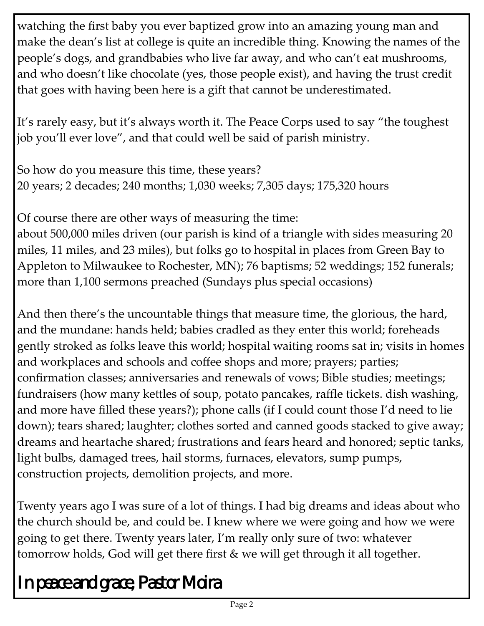watching the first baby you ever baptized grow into an amazing young man and make the dean's list at college is quite an incredible thing. Knowing the names of the people's dogs, and grandbabies who live far away, and who can't eat mushrooms, and who doesn't like chocolate (yes, those people exist), and having the trust credit that goes with having been here is a gift that cannot be underestimated.

It's rarely easy, but it's always worth it. The Peace Corps used to say "the toughest job you'll ever love", and that could well be said of parish ministry.

So how do you measure this time, these years? 20 years; 2 decades; 240 months; 1,030 weeks; 7,305 days; 175,320 hours

Of course there are other ways of measuring the time:

about 500,000 miles driven (our parish is kind of a triangle with sides measuring 20 miles, 11 miles, and 23 miles), but folks go to hospital in places from Green Bay to Appleton to Milwaukee to Rochester, MN); 76 baptisms; 52 weddings; 152 funerals; more than 1,100 sermons preached (Sundays plus special occasions)

And then there's the uncountable things that measure time, the glorious, the hard, and the mundane: hands held; babies cradled as they enter this world; foreheads gently stroked as folks leave this world; hospital waiting rooms sat in; visits in homes and workplaces and schools and coffee shops and more; prayers; parties; confirmation classes; anniversaries and renewals of vows; Bible studies; meetings; fundraisers (how many kettles of soup, potato pancakes, raffle tickets. dish washing, and more have filled these years?); phone calls (if I could count those I'd need to lie down); tears shared; laughter; clothes sorted and canned goods stacked to give away; dreams and heartache shared; frustrations and fears heard and honored; septic tanks, light bulbs, damaged trees, hail storms, furnaces, elevators, sump pumps, construction projects, demolition projects, and more.

Twenty years ago I was sure of a lot of things. I had big dreams and ideas about who the church should be, and could be. I knew where we were going and how we were going to get there. Twenty years later, I'm really only sure of two: whatever tomorrow holds, God will get there first & we will get through it all together.

*In peace and grace, Pastor Moira*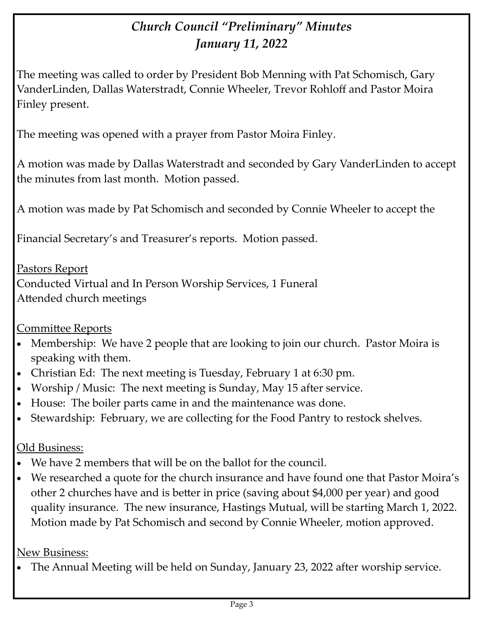## *Church Council "Preliminary" Minutes January 11, 2022*

The meeting was called to order by President Bob Menning with Pat Schomisch, Gary VanderLinden, Dallas Waterstradt, Connie Wheeler, Trevor Rohloff and Pastor Moira Finley present.

The meeting was opened with a prayer from Pastor Moira Finley.

A motion was made by Dallas Waterstradt and seconded by Gary VanderLinden to accept the minutes from last month. Motion passed.

A motion was made by Pat Schomisch and seconded by Connie Wheeler to accept the

Financial Secretary's and Treasurer's reports. Motion passed.

Pastors Report Conducted Virtual and In Person Worship Services, 1 Funeral Attended church meetings

#### Committee Reports

- Membership: We have 2 people that are looking to join our church. Pastor Moira is speaking with them.
- Christian Ed: The next meeting is Tuesday, February 1 at 6:30 pm.
- Worship / Music: The next meeting is Sunday, May 15 after service.
- House: The boiler parts came in and the maintenance was done.
- Stewardship: February, we are collecting for the Food Pantry to restock shelves.

#### Old Business:

- We have 2 members that will be on the ballot for the council.
- We researched a quote for the church insurance and have found one that Pastor Moira's other 2 churches have and is better in price (saving about \$4,000 per year) and good quality insurance. The new insurance, Hastings Mutual, will be starting March 1, 2022. Motion made by Pat Schomisch and second by Connie Wheeler, motion approved.

#### New Business:

• The Annual Meeting will be held on Sunday, January 23, 2022 after worship service.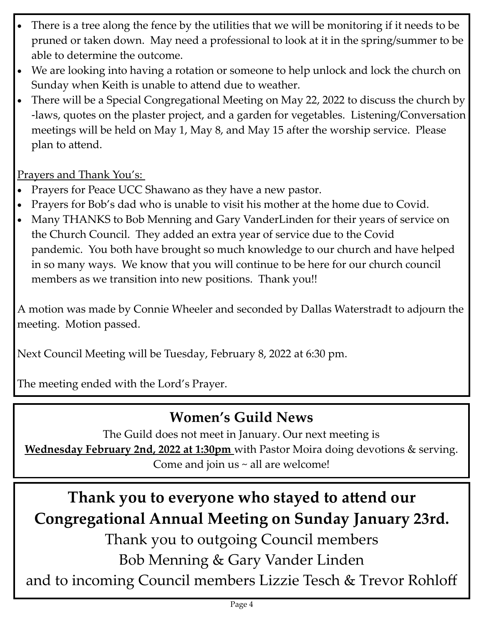- There is a tree along the fence by the utilities that we will be monitoring if it needs to be pruned or taken down. May need a professional to look at it in the spring/summer to be able to determine the outcome.
- We are looking into having a rotation or someone to help unlock and lock the church on Sunday when Keith is unable to attend due to weather.
- There will be a Special Congregational Meeting on May 22, 2022 to discuss the church by -laws, quotes on the plaster project, and a garden for vegetables. Listening/Conversation meetings will be held on May 1, May 8, and May 15 after the worship service. Please plan to attend.

Prayers and Thank You's:

- Prayers for Peace UCC Shawano as they have a new pastor.
- Prayers for Bob's dad who is unable to visit his mother at the home due to Covid.
- Many THANKS to Bob Menning and Gary VanderLinden for their years of service on the Church Council. They added an extra year of service due to the Covid pandemic. You both have brought so much knowledge to our church and have helped in so many ways. We know that you will continue to be here for our church council members as we transition into new positions. Thank you!!

A motion was made by Connie Wheeler and seconded by Dallas Waterstradt to adjourn the meeting. Motion passed.

Next Council Meeting will be Tuesday, February 8, 2022 at 6:30 pm.

The meeting ended with the Lord's Prayer.

# **Women's Guild News**

The Guild does not meet in January. Our next meeting is **Wednesday February 2nd, 2022 at 1:30pm** with Pastor Moira doing devotions & serving. Come and join us  $\sim$  all are welcome!

# **Thank you to everyone who stayed to attend our Congregational Annual Meeting on Sunday January 23rd.**

Thank you to outgoing Council members

Bob Menning & Gary Vander Linden

and to incoming Council members Lizzie Tesch & Trevor Rohloff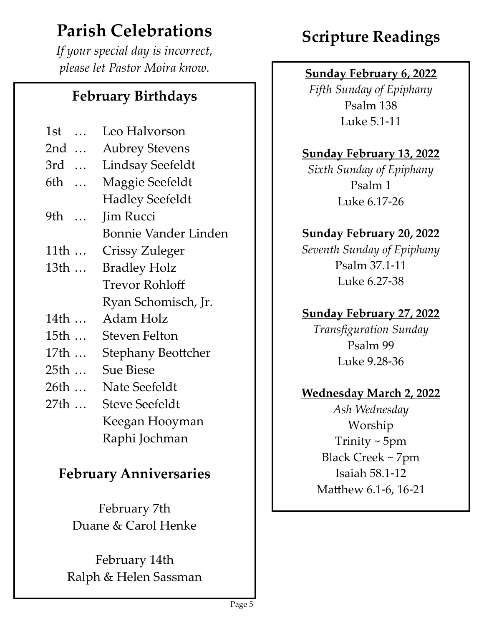# **Parish Celebrations**

*If your special day is incorrect, please let Pastor Moira know.* Sunday February 6, 2022

## **February Birthdays**

| 1st           | Leo Halvorson               |
|---------------|-----------------------------|
| 2nd           | <b>Aubrey Stevens</b>       |
| 3rd           | <b>Lindsay Seefeldt</b>     |
| 6th           | Maggie Seefeldt             |
|               | <b>Hadley Seefeldt</b>      |
| 9th<br>$\sim$ | Jim Rucci                   |
|               | <b>Bonnie Vander Linden</b> |
| 11th          | Crissy Zuleger              |
| 13th          | <b>Bradley Holz</b>         |
|               | Trevor Rohloff              |
|               | Ryan Schomisch, Jr.         |
| 14th          | Adam Holz                   |
| 15th          | <b>Steven Felton</b>        |
| 17th          | <b>Stephany Beottcher</b>   |
| 25th          | <b>Sue Biese</b>            |
| 26th          | Nate Seefeldt               |
| 27th          | <b>Steve Seefeldt</b>       |
|               | Keegan Hooyman              |
|               | Raphi Jochman               |

## **February Anniversaries**

February 7th Duane & Carol Henke

February 14th Ralph & Helen Sassman

# **Scripture Readings**

*Fifth Sunday of Epiphany* Psalm 138 Luke 5.1-11

### **Sunday February 13, 2022**

*Sixth Sunday of Epiphany* Psalm 1 Luke 6.17-26

#### **Sunday February 20, 2022**

*Seventh Sunday of Epiphany* Psalm 37.1-11 Luke 6.27-38

### **Sunday February 27, 2022**

*Transfiguration Sunday* Psalm 99 Luke 9.28-36

#### **Wednesday March 2, 2022**

*Ash Wednesday* Worship Trinity ~ 5pm Black Creek ~ 7pm Isaiah 58.1-12 Matthew 6.1-6, 16-21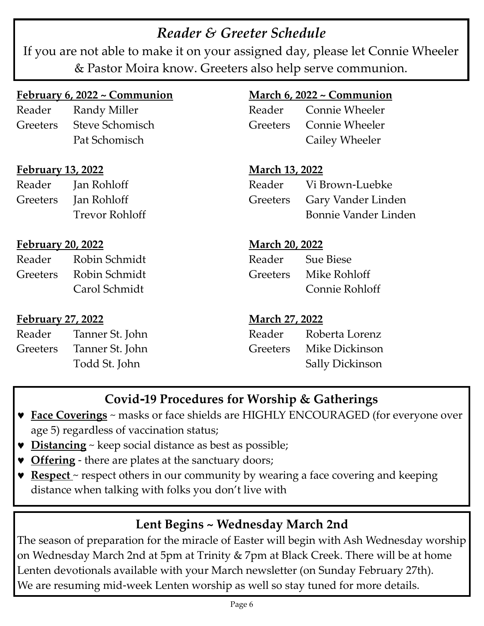## *Reader & Greeter Schedule*

If you are not able to make it on your assigned day, please let Connie Wheeler & Pastor Moira know. Greeters also help serve communion.

#### **February 6, 2022 ~ Communion**

Reader Randy Miller Greeters Steve Schomisch Pat Schomisch

#### **February 13, 2022**

Reader Jan Rohloff Greeters Jan Rohloff Trevor Rohloff

#### **February 20, 2022**

| Reader | Robin Schmidt          |
|--------|------------------------|
|        | Greeters Robin Schmidt |
|        | Carol Schmidt          |

#### **February 27, 2022**

| Reader   | Tanner St. John |
|----------|-----------------|
| Greeters | Tanner St. John |
|          | Todd St. John   |

#### **March 6, 2022 ~ Communion**

| Reader | Connie Wheeler          |
|--------|-------------------------|
|        | Greeters Connie Wheeler |
|        | Cailey Wheeler          |

**March 13, 2022** Reader Vi Brown-Luebke Greeters Gary Vander Linden Bonnie Vander Linden

#### **March 20, 2022**

Reader Sue Biese Greeters Mike Rohloff Connie Rohloff

#### **March 27, 2022**

| Reader | Roberta Lorenz          |
|--------|-------------------------|
|        | Greeters Mike Dickinson |
|        | Sally Dickinson         |

## **Covid-19 Procedures for Worship & Gatherings**

- **Face Coverings** ~ masks or face shields are HIGHLY ENCOURAGED (for everyone over age 5) regardless of vaccination status;
- **Distancing** ~ keep social distance as best as possible;
- **Offering** there are plates at the sanctuary doors;
- **Respect** ~ respect others in our community by wearing a face covering and keeping distance when talking with folks you don't live with

### **Lent Begins ~ Wednesday March 2nd**

The season of preparation for the miracle of Easter will begin with Ash Wednesday worship on Wednesday March 2nd at 5pm at Trinity & 7pm at Black Creek. There will be at home Lenten devotionals available with your March newsletter (on Sunday February 27th). We are resuming mid-week Lenten worship as well so stay tuned for more details.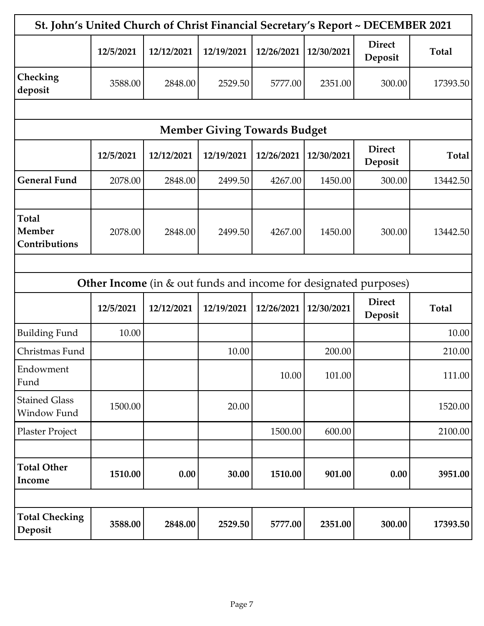| St. John's United Church of Christ Financial Secretary's Report ~ DECEMBER 2021 |           |            |                                     |            |            |                                                                         |              |
|---------------------------------------------------------------------------------|-----------|------------|-------------------------------------|------------|------------|-------------------------------------------------------------------------|--------------|
|                                                                                 | 12/5/2021 | 12/12/2021 | 12/19/2021                          | 12/26/2021 | 12/30/2021 | <b>Direct</b><br>Deposit                                                | <b>Total</b> |
| Checking<br>deposit                                                             | 3588.00   | 2848.00    | 2529.50                             | 5777.00    | 2351.00    | 300.00                                                                  | 17393.50     |
|                                                                                 |           |            |                                     |            |            |                                                                         |              |
|                                                                                 |           |            | <b>Member Giving Towards Budget</b> |            |            |                                                                         |              |
|                                                                                 | 12/5/2021 | 12/12/2021 | 12/19/2021                          | 12/26/2021 | 12/30/2021 | <b>Direct</b><br>Deposit                                                | <b>Total</b> |
| <b>General Fund</b>                                                             | 2078.00   | 2848.00    | 2499.50                             | 4267.00    | 1450.00    | 300.00                                                                  | 13442.50     |
|                                                                                 |           |            |                                     |            |            |                                                                         |              |
| <b>Total</b><br>Member<br>Contributions                                         | 2078.00   | 2848.00    | 2499.50                             | 4267.00    | 1450.00    | 300.00                                                                  | 13442.50     |
|                                                                                 |           |            |                                     |            |            |                                                                         |              |
|                                                                                 |           |            |                                     |            |            | <b>Other Income</b> (in & out funds and income for designated purposes) |              |
|                                                                                 | 12/5/2021 | 12/12/2021 | 12/19/2021                          | 12/26/2021 | 12/30/2021 | <b>Direct</b><br>Deposit                                                | <b>Total</b> |
| <b>Building Fund</b>                                                            | 10.00     |            |                                     |            |            |                                                                         | 10.00        |
| Christmas Fund                                                                  |           |            | 10.00                               |            | 200.00     |                                                                         | 210.00       |
| Endowment<br>Fund                                                               |           |            |                                     | 10.00      | 101.00     |                                                                         | 111.00       |
| <b>Stained Glass</b><br>Window Fund                                             | 1500.00   |            | 20.00                               |            |            |                                                                         | 1520.00      |
| Plaster Project                                                                 |           |            |                                     | 1500.00    | 600.00     |                                                                         | 2100.00      |
| <b>Total Other</b><br>Income                                                    | 1510.00   | 0.00       | 30.00                               | 1510.00    | 901.00     | 0.00                                                                    | 3951.00      |
|                                                                                 |           |            |                                     |            |            |                                                                         |              |
| <b>Total Checking</b><br>Deposit                                                | 3588.00   | 2848.00    | 2529.50                             | 5777.00    | 2351.00    | 300.00                                                                  | 17393.50     |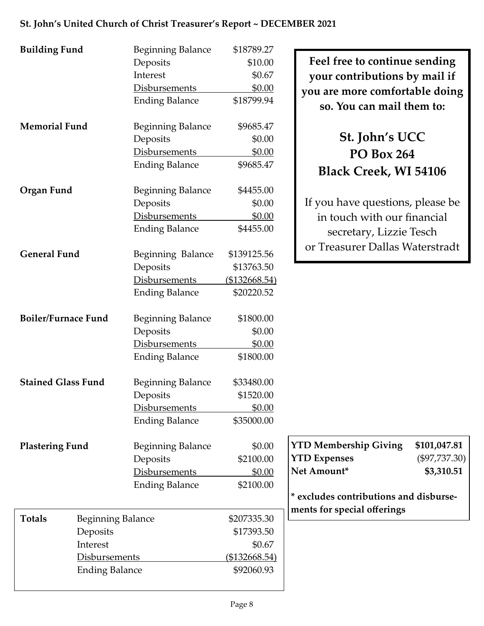| St. John's United Church of Christ Treasurer's Report ~ DECEMBER 2021 |                                                                                            |                                                         |                                                                                                                               |
|-----------------------------------------------------------------------|--------------------------------------------------------------------------------------------|---------------------------------------------------------|-------------------------------------------------------------------------------------------------------------------------------|
| <b>Building Fund</b>                                                  | <b>Beginning Balance</b><br>Deposits<br>Interest<br>Disbursements<br><b>Ending Balance</b> | \$18789.27<br>\$10.00<br>\$0.67<br>\$0.00<br>\$18799.94 | Feel free to continue sending<br>your contributions by mail if<br>you are more comfortable doing<br>so. You can mail them to: |
| <b>Memorial Fund</b>                                                  | <b>Beginning Balance</b><br>Deposits<br>Disbursements<br><b>Ending Balance</b>             | \$9685.47<br>\$0.00<br>\$0.00<br>\$9685.47              | St. John's UCC<br><b>PO Box 264</b><br><b>Black Creek, WI 54106</b>                                                           |
| Organ Fund                                                            | <b>Beginning Balance</b><br>Deposits<br>Disbursements<br><b>Ending Balance</b>             | \$4455.00<br>\$0.00<br>\$0.00<br>\$4455.00              | If you have questions, please be<br>in touch with our financial<br>secretary, Lizzie Tesch<br>or Treasurer Dallas Waterstradt |
| <b>General Fund</b>                                                   | Beginning Balance                                                                          | \$139125.56                                             |                                                                                                                               |

| <b>Memorial Fund</b>       |                          | <b>Beginning Balance</b> | \$9685.47            |                                              |
|----------------------------|--------------------------|--------------------------|----------------------|----------------------------------------------|
|                            |                          | Deposits                 | \$0.00               | St. John's UCC                               |
|                            |                          | Disbursements            | \$0.00               | <b>PO Box 264</b>                            |
|                            |                          | <b>Ending Balance</b>    | \$9685.47            | <b>Black Creek, WI 54106</b>                 |
| Organ Fund                 |                          | <b>Beginning Balance</b> | \$4455.00            |                                              |
|                            |                          | Deposits                 | \$0.00               | If you have questions, please be             |
|                            |                          | Disbursements            | \$0.00               | in touch with our financial                  |
|                            |                          | <b>Ending Balance</b>    | \$4455.00            | secretary, Lizzie Tesch                      |
| <b>General Fund</b>        |                          | Beginning Balance        | \$139125.56          | or Treasurer Dallas Waterstradt              |
|                            |                          | Deposits                 | \$13763.50           |                                              |
|                            |                          | Disbursements            | (\$132668.54)        |                                              |
|                            |                          | <b>Ending Balance</b>    | \$20220.52           |                                              |
|                            |                          |                          |                      |                                              |
| <b>Boiler/Furnace Fund</b> |                          | <b>Beginning Balance</b> | \$1800.00            |                                              |
|                            |                          | Deposits                 | \$0.00               |                                              |
|                            |                          | Disbursements            | \$0.00               |                                              |
|                            |                          | <b>Ending Balance</b>    | \$1800.00            |                                              |
|                            |                          |                          |                      |                                              |
| <b>Stained Glass Fund</b>  |                          | <b>Beginning Balance</b> | \$33480.00           |                                              |
|                            |                          | Deposits                 | \$1520.00            |                                              |
|                            |                          | Disbursements            | \$0.00               |                                              |
|                            |                          | <b>Ending Balance</b>    | \$35000.00           |                                              |
| <b>Plastering Fund</b>     |                          | <b>Beginning Balance</b> | \$0.00               | <b>YTD Membership Giving</b><br>\$101,047.81 |
|                            |                          | Deposits                 | \$2100.00            | <b>YTD Expenses</b><br>$(\$97,737.30)$       |
|                            |                          | <b>Disbursements</b>     | \$0.00               | Net Amount*<br>\$3,310.51                    |
|                            |                          | <b>Ending Balance</b>    | \$2100.00            |                                              |
|                            |                          |                          |                      | * excludes contributions and disburse-       |
|                            |                          |                          |                      | ments for special offerings                  |
| <b>Totals</b>              | <b>Beginning Balance</b> |                          | \$207335.30          |                                              |
|                            | Deposits                 |                          | \$17393.50           |                                              |
|                            | Interest                 |                          | \$0.67               |                                              |
|                            | Disbursements            |                          | <u>(\$132668.54)</u> |                                              |
|                            | <b>Ending Balance</b>    |                          | \$92060.93           |                                              |
|                            |                          |                          |                      |                                              |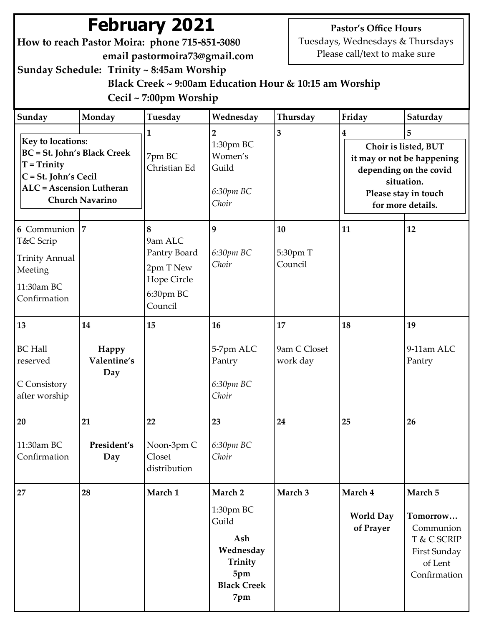# **February 2021**

**How to reach Pastor Moira: phone 715-851-3080 email pastormoira73@gmail.com** **Pastor's Office Hours**

Tuesdays, Wednesdays & Thursdays Please call/text to make sure

**Sunday Schedule: Trinity ~ 8:45am Worship**

 **Black Creek ~ 9:00am Education Hour & 10:15 am Worship Cecil ~ 7:00pm Worship**

| Sunday                                                                                                                                     | Monday                                   | Tuesday                                                                          | Wednesday                                                                                        | Thursday                       | Friday                                   | Saturday                                                                                                                                     |
|--------------------------------------------------------------------------------------------------------------------------------------------|------------------------------------------|----------------------------------------------------------------------------------|--------------------------------------------------------------------------------------------------|--------------------------------|------------------------------------------|----------------------------------------------------------------------------------------------------------------------------------------------|
| <b>Key to locations:</b><br><b>BC</b> = St. John's Black Creek<br>$T = Trinity$<br>C = St. John's Cecil<br><b>ALC</b> = Ascension Lutheran | <b>Church Navarino</b>                   | 1<br>7pm BC<br>Christian Ed                                                      | $\overline{2}$<br>1:30pm BC<br>Women's<br>Guild<br>6:30pm BC<br>Choir                            | 3                              | 4                                        | 5<br>Choir is listed, BUT<br>it may or not be happening<br>depending on the covid<br>situation.<br>Please stay in touch<br>for more details. |
| 6 Communion 7<br>T&C Scrip<br><b>Trinity Annual</b><br>Meeting<br>11:30am BC<br>Confirmation                                               |                                          | 8<br>9am ALC<br>Pantry Board<br>2pm T New<br>Hope Circle<br>6:30pm BC<br>Council | 9<br>6:30рт ВС<br>Choir                                                                          | 10<br>5:30pm T<br>Council      | 11                                       | 12                                                                                                                                           |
| 13<br><b>BC Hall</b><br>reserved<br>C Consistory<br>after worship                                                                          | 14<br><b>Happy</b><br>Valentine's<br>Day | 15                                                                               | 16<br>5-7pm ALC<br>Pantry<br>6:30рт ВС<br>Choir                                                  | 17<br>9am C Closet<br>work day | 18                                       | 19<br>9-11am ALC<br>Pantry                                                                                                                   |
| 20<br>11:30am BC<br>Confirmation                                                                                                           | 21<br>President's<br>Day                 | 22<br>Noon-3pm C<br>Closet<br>distribution                                       | 23<br>6:30рт ВС<br>Choir                                                                         | 24                             | 25                                       | 26                                                                                                                                           |
| 27                                                                                                                                         | 28                                       | March 1                                                                          | March 2<br>1:30pm BC<br>Guild<br>Ash<br>Wednesday<br>Trinity<br>5pm<br><b>Black Creek</b><br>7pm | March 3                        | March 4<br><b>World Day</b><br>of Prayer | March 5<br>Tomorrow<br>Communion<br>T & C SCRIP<br>First Sunday<br>of Lent<br>Confirmation                                                   |